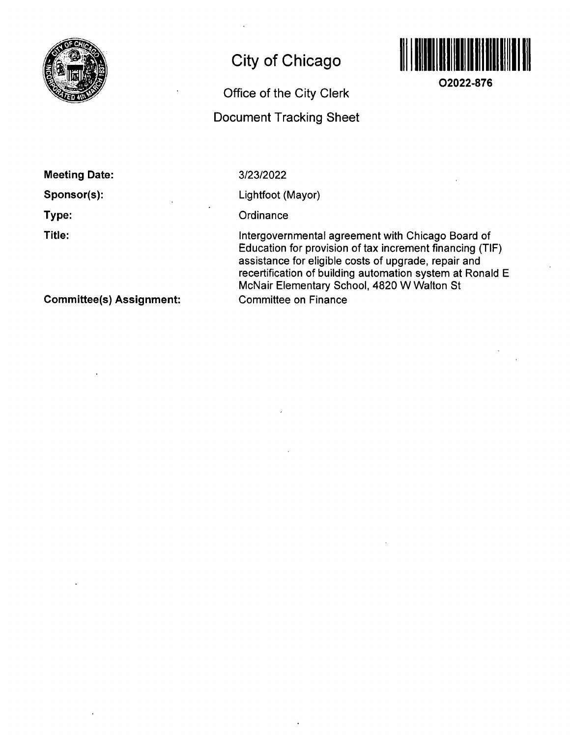

# City of Chicago



**02022-876** 

# Office of the City Clerk

# Document Tracking Sheet

| <b>Meeting Date:</b> |  |
|----------------------|--|
| Sponsor(s):<br>٠     |  |
| Type:                |  |
| Title:               |  |
|                      |  |

3/23/2022

Lightfoot (Mayor)

**Ordinance** 

Intergovernmental agreemenf with Chicago Board of Education for provision of fax increment financing (TIF) assistance for eligible costs of upgrade, repair and recertification of building automation system af Ronald E McNair Elementary School, 4820 W Walton Sf Committee on Finance

Committee(s) Assignment: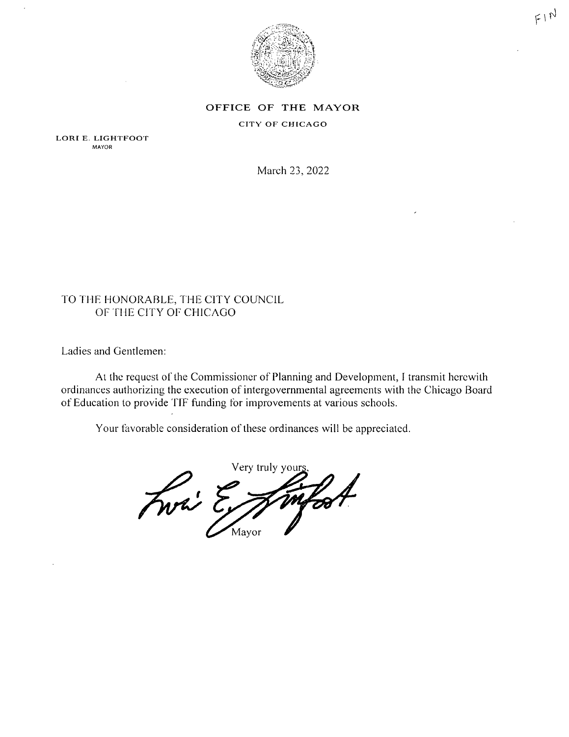

## OFFICE OF THE MAYOR

### CITY OF CHICAGO

LORI E. LIGHTFOOT **MAYOR** 

March 23, 2022

# TO THE HONORABLE, THE CITY COUNCIL OF THE CITY OF CHICAGO

Ladies and Gentlemen:

At the request of the Commissioner of Planning and Development, I transmit herewith ordinances authorizing the execution of intergovernmental agreements with the Chicago Board of Education to provide TIF funding for improvements at various schools.

Your favorable consideration of these ordinances will be appreciated.

Very truly your Fwri Ex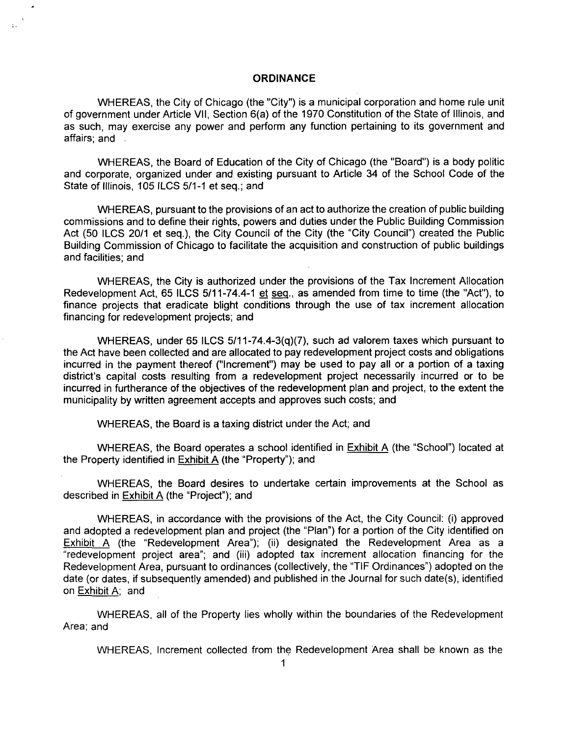#### **ORDINANCE**

WHEREAS, the City of Chicago (the "City") is a municipal corporation and home rule unit of government under Article VII, Section 6(a) of the 1970 Constitution of the State of Illinois, and as such, may exercise any power and perform any function pertaining to its government and affairs; and .

WHEREAS, the Board of Education of the City of Chicago (the "Board") is a body politic and corporate, organized under and existing pursuant to Article 34 of the School Code of the State of Illinois, 105 ILCS 5/1-1 et seq.; and

WHEREAS, pursuant to the provisions of an act to authorize the creation of public building commissions and to define their rights, powers and duties under the Public Building Commission Act (50 ILCS 20/1 et seq.), the City Council of the City (the "City Council") created the Public Building Commission of Chicago to facilitate the acquisition and construction of public buildings and facilities; and

WHEREAS, the City is authorized under the provisions of the Tax Increment Allocation Redevelopment Act, 65 ILCS 5/11-74.4-1 et seq.. as amended from time to time (the 'Act"), to finance projects that eradicate blight conditions through the use of tax increment allocation financing for redevelopment projects; and

WHEREAS, under 65 ILCS 5/11-74.4-3(q)(7), such ad valorem taxes which pursuant to the Act have been collected and are allocated to pay redevelopment project costs and obligations incurred in the payment thereof ("Increment") may be used to pay all or a portion of a taxing district's capital costs resulting from a redevelopment project necessarily incurred or to be incurred in furtherance of the objectives of the redevelopment plan and project, to the extent the municipality by written agreement accepts and approves such costs; and

WHEREAS, the Board is a taxing district under the Act; and

WHEREAS, the Board operates a school identified in Exhibit A (the "School") located at the Property identified in Exhibit A (the "Property"); and

WHEREAS, the Board desires to undertake certain improvements at the School as described in Exhibit A (the "Project"); and

WHEREAS, in accordance with the provisions of the Act, the City Council: (i) approved and adopted a redevelopment plan and project (the "Plan") for a portion of the City identified on Exhibit A (the "Redevelopment Area"); (ii) designated the Redevelopment Area as a "redevelopment project area"; and (iii) adopted tax increment allocation financing for the Redevelopment Area, pursuant to ordinances (collectively, the "TIF Ordinances") adopted on the date (or dates, if subsequently amended) and published in the Journal for such date(s), identified on Exhibit A; and

WHEREAS, all of the Property lies wholly within the boundaries of the Redevelopment Area; and

WHEREAS, Increment collected from the Redevelopment Area shall be known as the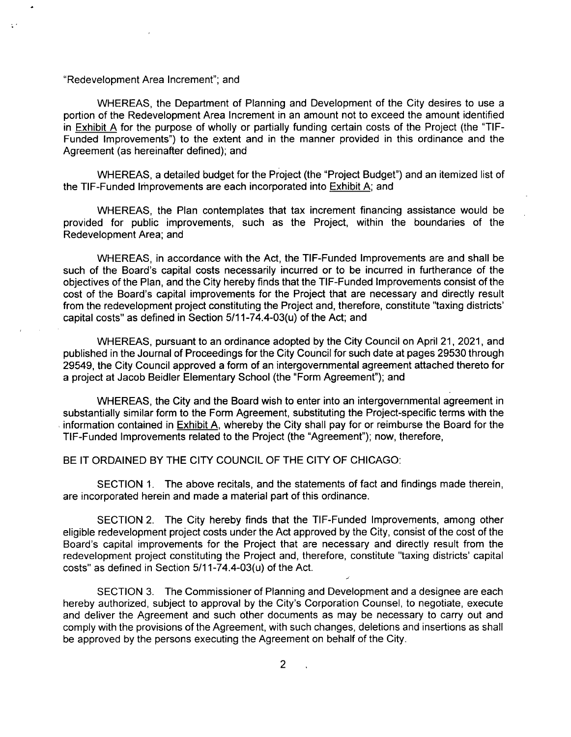#### "Redevelopment Area Increment"; and

WHEREAS, the Department of Planning and Development of the City desires to use a portion of the Redevelopment Area Increment in an amount not to exceed the amount identified in Exhibit A for the purpose of wholly or partially funding certain costs of the Project (the "TIF-Funded Improvements") to the extent and in the manner provided in this ordinance and the Agreement (as hereinafter defined); and

WHEREAS, a detailed budget for the Project (the "Project Budget") and an itemized list of the TIF-Funded Improvements are each incorporated into Exhibit A: and

WHEREAS, the Plan contemplates that tax increment financing assistance would be provided for public improvements, such as the Project, within the boundaries of the Redevelopment Area; and

WHEREAS, in accordance with the Act, the TIF-Funded Improvements are and shall be such of the Board's capital costs necessarily incurred or to be incurred in furtherance of the objectives of the Plan, and the City hereby finds that the TIF-Funded Improvements consist of the cost of the Board's capital improvements for the Project that are necessary and directly result from the redevelopment project constituting the Project and, therefore, constitute "taxing districts' capital costs" as defined in Section 5/11-74.4-03(u) of the Act; and

WHEREAS, pursuant to an ordinance adopted by the City Council on April 21, 2021, and published in the Journal of Proceedings for the City Council for such date at pages 29530 through 29549, the City Council approved a form of an intergovernmental agreement attached thereto for a project at Jacob Beidler Elementary School (the "Form Agreement"); and

WHEREAS, the City and the Board wish to enter into an intergovernmental agreement in substantially similar form to the Form Agreement, substituting the Project-specific terms with the information contained in Exhibit A. whereby the City shall pay for or reimburse the Board for the TIF-Funded Improvements related to the Project (the "Agreement"); now, therefore,

### BE IT ORDAINED BY THE CITY COUNCIL OF THE CITY OF CHICAGO:

SECTION 1. The above recitals, and the statements of fact and findings made therein, are incorporated herein and made a material part of this ordinance.

SECTION 2. The City hereby finds that the TIF-Funded Improvements, among other eligible redevelopment project costs under the Act approved by the City, consist of the cost of the Board's capital improvements for the Project that are necessary and directly result from the redevelopment project constituting the Project and, therefore, constitute "taxing districts' capital costs" as defined in Section  $5/11-74.4-03(u)$  of the Act.

SECTION 3, The Commissioner of Planning and Development and a designee are each hereby authorized, subject to approval by the City's Corporation Counsel, to negotiate, execute and deliver the Agreement and such other documents as may be necessary to carry out and comply with the provisions of the Agreement, with such changes, deletions and insertions as shall be approved by the persons executing the Agreement on behalf of the City,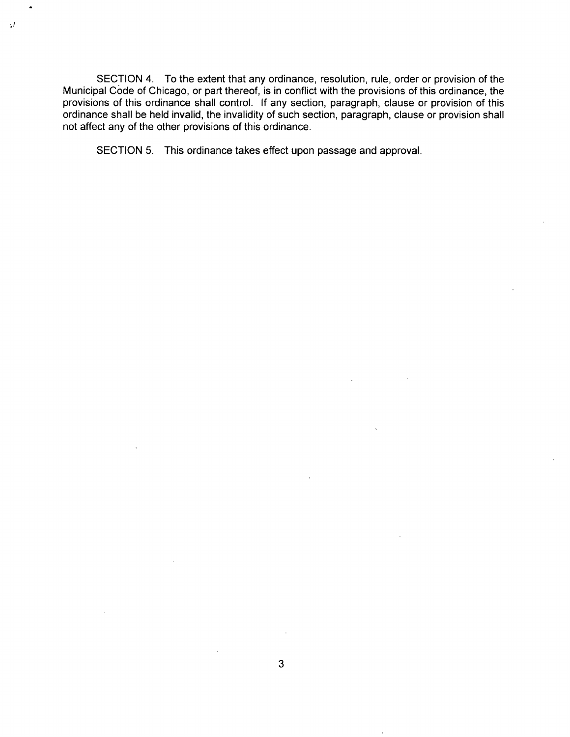SECTION 4. To the extent that any ordinance, resolution, rule, order or provision of the Municipal Code of Chicago, or part thereof, is in conflict with the provisions ofthis ordinance, the provisions of this ordinance shall control. If any section, paragraph, clause or provision of this ordinance shall be held invalid, the invalidity of such section, paragraph, clause or provision shall not affect any of the other provisions of this ordinance.

SECTION 5. This ordinance takes effect upon passage and approval.

 $\mathcal{D}$